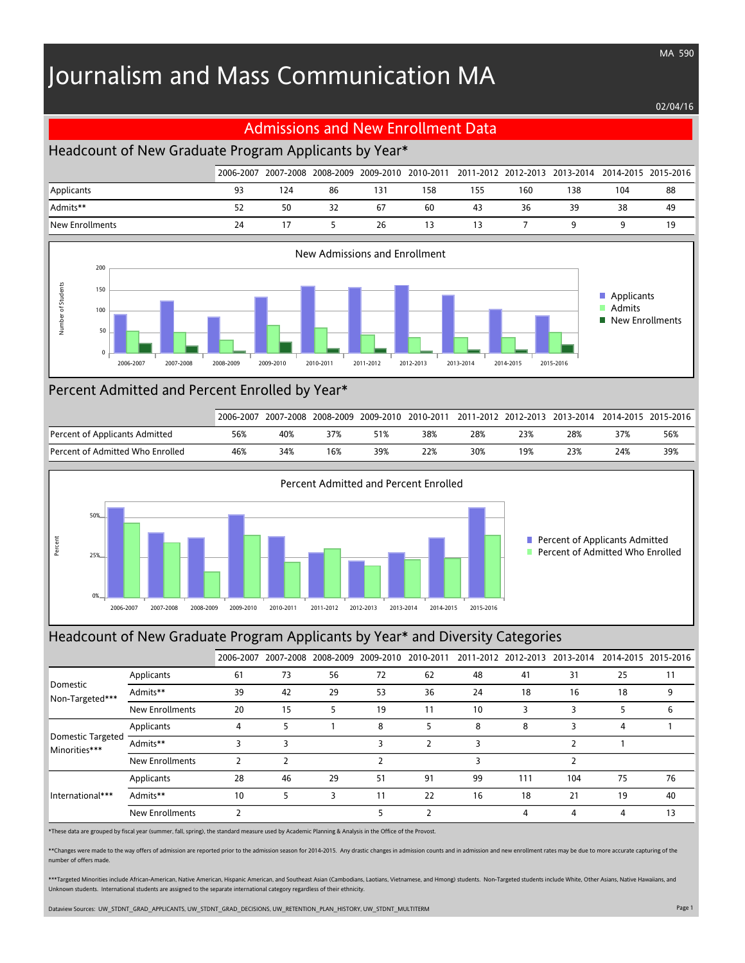# Journalism and Mass Communication MA

#### 02/04/16

MA 590

#### Admissions and New Enrollment Data

## Headcount of New Graduate Program Applicants by Year\*

|                 |    |     |    |     |     |     |     |     |     | 2006-2007 2007-2008 2008-2009 2009-2010 2010-2011 2011-2012 2012-2013 2013-2014 2014-2015 2015-2016 |
|-----------------|----|-----|----|-----|-----|-----|-----|-----|-----|-----------------------------------------------------------------------------------------------------|
| Applicants      | 93 | 124 | 86 | 131 | 158 | 155 | 160 | 138 | 104 | 88                                                                                                  |
| Admits**        | 52 | 50  | 32 | 67  | 60  | 43  | 36  | 39  | 38  | 49                                                                                                  |
| New Enrollments | 24 |     |    | 26  |     |     |     |     |     | 19                                                                                                  |



#### Percent Admitted and Percent Enrolled by Year\*

|                                  | 2006-2007 | 2007-2008 |     | 2008-2009 2009-2010 | 2010-2011 |     |     | 1 2011-2012 2012-2013 2013-2014 |     | 2014-2015 2015-2016 |
|----------------------------------|-----------|-----------|-----|---------------------|-----------|-----|-----|---------------------------------|-----|---------------------|
| Percent of Applicants Admitted   | 56%       | 40%       |     |                     | 38%       | 28% | 23% | 28%                             | 37% | 56%                 |
| Percent of Admitted Who Enrolled | 46%       | 34%       | 16% | 39%                 | 22%       | 30% | 19% | 23%                             | 24% | 39%                 |



#### Headcount of New Graduate Program Applicants by Year\* and Diversity Categories

|                                           |                        |    | 2006-2007 2007-2008 2008-2009 2009-2010 |    |    | 2010-2011 |    | 2011-2012 2012-2013 | 2013-2014 | 2014-2015 2015-2016 |    |
|-------------------------------------------|------------------------|----|-----------------------------------------|----|----|-----------|----|---------------------|-----------|---------------------|----|
| Domestic<br>Non-Targeted***               | Applicants             | 61 | 73                                      | 56 | 72 | 62        | 48 | 41                  | 31        | 25                  | 11 |
|                                           | Admits**               | 39 | 42                                      | 29 | 53 | 36        | 24 | 18                  | 16        | 18                  | 9  |
|                                           | New Enrollments        | 20 | 15                                      |    | 19 | 11        | 10 | 3                   |           | ל                   | 6  |
|                                           | Applicants             |    | 5                                       |    | 8  |           | 8  | 8                   | 3         | 4                   |    |
| <b>Domestic Targeted</b><br>Minorities*** | Admits**               |    | 3                                       |    | 3  |           | 3  |                     |           |                     |    |
|                                           | <b>New Enrollments</b> |    |                                         |    |    |           |    |                     |           |                     |    |
| International***                          | Applicants             | 28 | 46                                      | 29 | 51 | 91        | 99 | 111                 | 104       | 75                  | 76 |
|                                           | Admits**               | 10 | 5                                       | 3  | 11 | 22        | 16 | 18                  | 21        | 19                  | 40 |
|                                           | New Enrollments        |    |                                         |    | 5  |           |    | 4                   | 4         | 4                   | 13 |

\*These data are grouped by fiscal year (summer, fall, spring), the standard measure used by Academic Planning & Analysis in the Office of the Provost.

\*\*Changes were made to the way offers of admission are reported prior to the admission season for 2014-2015. Any drastic changes in admission counts and in admission and new enrollment rates may be due to more accurate cap number of offers made.

\*\*\*Targeted Minorities include African-American, Native American, Hispanic American, and Southeast Asian (Cambodians, Laotians, Vietnamese, and Hmong) students. Non-Targeted students include White, Other Asians, Native Haw Unknown students. International students are assigned to the separate international category regardless of their ethnicity.

Dataview Sources: UW\_STDNT\_GRAD\_APPLICANTS, UW\_STDNT\_GRAD\_DECISIONS, UW\_RETENTION\_PLAN\_HISTORY, UW\_STDNT\_MULTITERM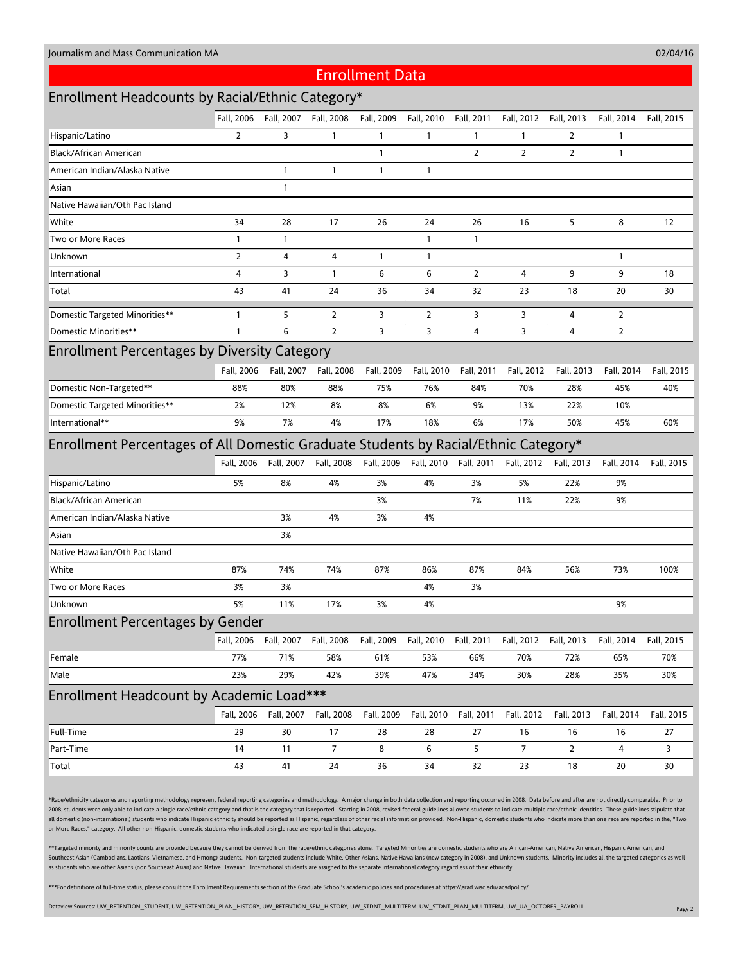02/04/16

#### Enrollment Data

## Enrollment Headcounts by Racial/Ethnic Category\*

|                                                                                     | Fall. 2006     | Fall, 2007   | Fall, 2008     | Fall, 2009   | Fall, 2010     | Fall, 2011            | Fall, 2012                                             | Fall, 2013             | Fall, 2014     | Fall, 2015 |  |  |
|-------------------------------------------------------------------------------------|----------------|--------------|----------------|--------------|----------------|-----------------------|--------------------------------------------------------|------------------------|----------------|------------|--|--|
| Hispanic/Latino                                                                     | $\overline{2}$ | 3            | 1              | $\mathbf{1}$ | $\mathbf{1}$   | $\mathbf{1}$          | 1                                                      | 2                      | 1              |            |  |  |
| Black/African American                                                              |                |              |                | $\mathbf{1}$ |                | $\overline{2}$        | $\overline{2}$                                         | $\overline{2}$         | $\mathbf{1}$   |            |  |  |
| American Indian/Alaska Native                                                       |                | $\mathbf{1}$ | $\mathbf{1}$   | $\mathbf{1}$ | $\mathbf{1}$   |                       |                                                        |                        |                |            |  |  |
| Asian                                                                               |                | $\mathbf{1}$ |                |              |                |                       |                                                        |                        |                |            |  |  |
| Native Hawaiian/Oth Pac Island                                                      |                |              |                |              |                |                       |                                                        |                        |                |            |  |  |
| White                                                                               | 34             | 28           | 17             | 26           | 24             | 26                    | 16                                                     | 5                      | 8              | 12         |  |  |
| Two or More Races                                                                   | 1              | $\mathbf{1}$ |                |              | 1              | $\mathbf{1}$          |                                                        |                        |                |            |  |  |
| Unknown                                                                             | $\overline{2}$ | 4            | 4              | $\mathbf{1}$ | $\mathbf{1}$   |                       |                                                        |                        | 1              |            |  |  |
| International                                                                       | 4              | 3            | $\mathbf{1}$   | 6            | 6              | $\overline{2}$        | $\overline{4}$                                         | 9                      | 9              | 18         |  |  |
| Total                                                                               | 43             | 41           | 24             | 36           | 34             | 32                    | 23                                                     | 18                     | 20             | 30         |  |  |
| Domestic Targeted Minorities**                                                      | $\mathbf{1}$   | 5            | $\overline{2}$ | 3            | $\overline{2}$ | 3                     | 3                                                      | 4                      | $\overline{2}$ |            |  |  |
| Domestic Minorities**                                                               | 1              | 6            | $\overline{2}$ | 3            | 3              | $\overline{4}$        | 3                                                      | 4                      | $\overline{2}$ |            |  |  |
| <b>Enrollment Percentages by Diversity Category</b>                                 |                |              |                |              |                |                       |                                                        |                        |                |            |  |  |
|                                                                                     | Fall. 2006     | Fall, 2007   | Fall, 2008     | Fall, 2009   | Fall, 2010     | Fall, 2011            | Fall, 2012                                             | Fall, 2013             | Fall, 2014     | Fall, 2015 |  |  |
| Domestic Non-Targeted**                                                             | 88%            | 80%          | 88%            | 75%          | 76%            | 84%                   | 70%                                                    | 28%                    | 45%            | 40%        |  |  |
| Domestic Targeted Minorities**                                                      | 2%             | 12%          | 8%             | 8%           | 6%             | 9%                    | 13%                                                    | 22%                    | 10%            |            |  |  |
| International**                                                                     | 9%             | 7%           | 4%             | 17%          | 18%            | 6%                    | 17%                                                    | 50%                    | 45%            | 60%        |  |  |
| Enrollment Percentages of All Domestic Graduate Students by Racial/Ethnic Category* |                |              |                |              |                |                       |                                                        |                        |                |            |  |  |
|                                                                                     | Fall, 2006     | Fall, 2007   | Fall, 2008     | Fall, 2009   |                | Fall, 2010 Fall, 2011 |                                                        | Fall, 2012  Fall, 2013 | Fall, 2014     | Fall, 2015 |  |  |
| Hispanic/Latino                                                                     | 5%             | 8%           | 4%             | 3%           | 4%             | 3%                    | 5%                                                     | 22%                    | 9%             |            |  |  |
| Black/African American                                                              |                |              |                | 3%           |                | 7%                    | 11%                                                    | 22%                    | 9%             |            |  |  |
| American Indian/Alaska Native                                                       |                | 3%           | 4%             | 3%           | 4%             |                       |                                                        |                        |                |            |  |  |
| Asian                                                                               |                | 3%           |                |              |                |                       |                                                        |                        |                |            |  |  |
| Native Hawaiian/Oth Pac Island                                                      |                |              |                |              |                |                       |                                                        |                        |                |            |  |  |
| White                                                                               | 87%            | 74%          | 74%            | 87%          | 86%            | 87%                   | 84%                                                    | 56%                    | 73%            | 100%       |  |  |
| Two or More Races                                                                   | 3%             | 3%           |                |              | 4%             | 3%                    |                                                        |                        |                |            |  |  |
| Unknown                                                                             | 5%             | 11%          | 17%            | 3%           | 4%             |                       |                                                        |                        | 9%             |            |  |  |
| <b>Enrollment Percentages by Gender</b>                                             |                |              |                |              |                |                       |                                                        |                        |                |            |  |  |
|                                                                                     | Fall, 2006     | Fall, 2007   | Fall, 2008     |              |                |                       | Fall, 2009 Fall, 2010 Fall, 2011 Fall, 2012 Fall, 2013 |                        | Fall, 2014     | Fall, 2015 |  |  |
| Female                                                                              | 77%            | 71%          | 58%            | 61%          | 53%            | 66%                   | 70%                                                    | 72%                    | 65%            | 70%        |  |  |
| Male                                                                                | 23%            | 29%          | 42%            | 39%          | 47%            | 34%                   | 30%                                                    | 28%                    | 35%            | 30%        |  |  |
| Enrollment Headcount by Academic Load***                                            |                |              |                |              |                |                       |                                                        |                        |                |            |  |  |
|                                                                                     | Fall, 2006     | Fall, 2007   | Fall, 2008     | Fall, 2009   | Fall, 2010     | Fall, 2011            | Fall, 2012                                             | Fall, 2013             | Fall, 2014     | Fall, 2015 |  |  |
| Full-Time                                                                           | 29             | 30           | 17             | 28           | 28             | 27                    | 16                                                     | 16                     | 16             | 27         |  |  |
| Part-Time                                                                           | 14             | 11           | 7              | 8            | 6              | 5                     | 7                                                      | 2                      | 4              | 3          |  |  |
| Total                                                                               | 43             | 41           | 24             | 36           | 34             | 32                    | 23                                                     | 18                     | 20             | 30         |  |  |

\*Race/ethnicity categories and reporting methodology represent federal reporting categories and methodology. A major change in both data collection and reporting occurred in 2008. Data before and after are not directly com 2008, students were only able to indicate a single race/ethnic category and that is the category that is reported. Starting in 2008, revised federal guidelines allowed students to indicate multiple race/ethnic identities. all domestic (non-international) students who indicate Hispanic ethnicity should be reported as Hispanic, regardless of other racial information provided. Non-Hispanic, domestic students who indicate more than one race are or More Races," category. All other non-Hispanic, domestic students who indicated a single race are reported in that category.

\*\*Targeted minority and minority counts are provided because they cannot be derived from the race/ethnic categories alone. Targeted Minorities are domestic students who are African-American, Native American, Hispanic Ameri Southeast Asian (Cambodians, Laotians, Vietnamese, and Hmong) students. Non-targeted students include White, Other Asians, Native Hawaiians (new category in 2008), and Unknown students. Minority includes all the targeted c as students who are other Asians (non Southeast Asian) and Native Hawaiian. International students are assigned to the separate international category regardless of their ethnicity.

\*\*\*For definitions of full-time status, please consult the Enrollment Requirements section of the Graduate School's academic policies and procedures at https://grad.wisc.edu/acadpolicy/.

Dataview Sources: UW\_RETENTION\_STUDENT, UW\_RETENTION\_PLAN\_HISTORY, UW\_RETENTION\_SEM\_HISTORY, UW\_STDNT\_MULTITERM, UW\_STDNT\_PLAN\_MULTITERM, UW\_UA\_OCTOBER\_PAYROLL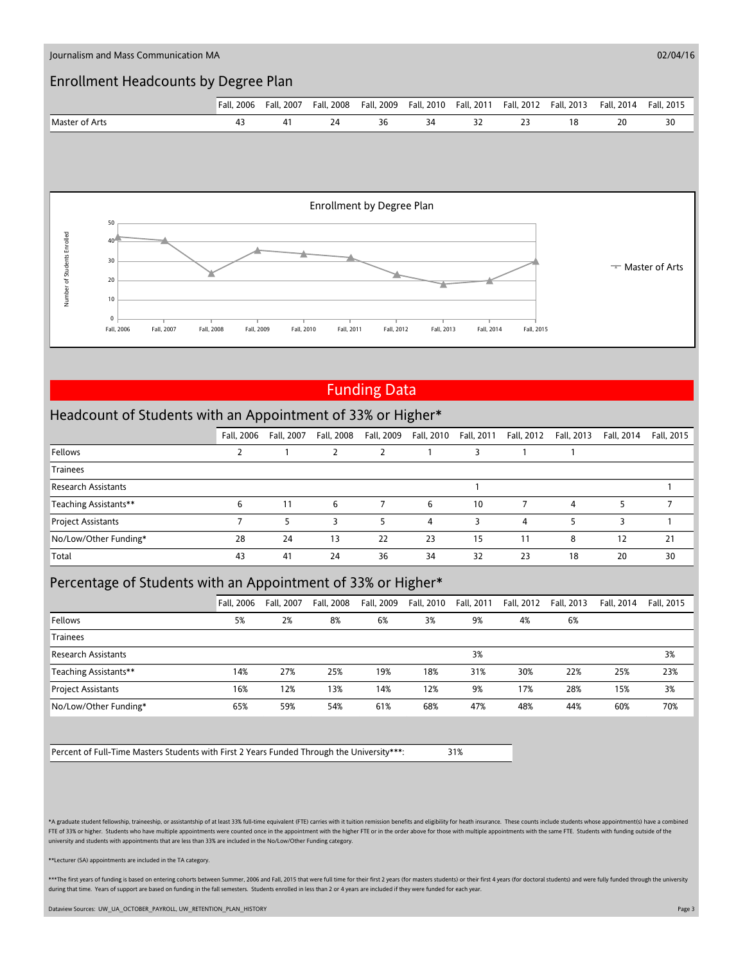

## Funding Data

#### Headcount of Students with an Appointment of 33% or Higher\*

|                            | Fall, 2006 | Fall, 2007 | Fall, 2008 | Fall, 2009 | Fall, 2010 | Fall, 2011 | Fall, 2012 | Fall, 2013 | Fall, 2014 | Fall, 2015 |
|----------------------------|------------|------------|------------|------------|------------|------------|------------|------------|------------|------------|
| Fellows                    |            |            |            |            |            |            |            |            |            |            |
| <b>Trainees</b>            |            |            |            |            |            |            |            |            |            |            |
| <b>Research Assistants</b> |            |            |            |            |            |            |            |            |            |            |
| Teaching Assistants**      | 6          | 11         | 6          |            | 6          | 10         |            | 4          |            |            |
| Project Assistants         |            |            |            |            | 4          |            | 4          |            |            |            |
| No/Low/Other Funding*      | 28         | 24         | 13         | 22         | 23         | 15         | 11         | 8          | 12         | 21         |
| Total                      | 43         | 41         | 24         | 36         | 34         | 32         | 23         | 18         | 20         | 30         |

## Percentage of Students with an Appointment of 33% or Higher\*

|                            | <b>Fall. 2006</b> | Fall. 2007 | Fall, 2008 | Fall, 2009 | Fall, 2010 | Fall, 2011 | Fall, 2012 | Fall, 2013 | Fall, 2014 | Fall, 2015 |
|----------------------------|-------------------|------------|------------|------------|------------|------------|------------|------------|------------|------------|
| Fellows                    | 5%                | 2%         | 8%         | 6%         | 3%         | 9%         | 4%         | 6%         |            |            |
| <b>Trainees</b>            |                   |            |            |            |            |            |            |            |            |            |
| <b>Research Assistants</b> |                   |            |            |            |            | 3%         |            |            |            | 3%         |
| Teaching Assistants**      | 14%               | 27%        | 25%        | 19%        | 18%        | 31%        | 30%        | 22%        | 25%        | 23%        |
| <b>Project Assistants</b>  | 16%               | 12%        | 13%        | 14%        | 12%        | 9%         | 17%        | 28%        | 15%        | 3%         |
| No/Low/Other Funding*      | 65%               | 59%        | 54%        | 61%        | 68%        | 47%        | 48%        | 44%        | 60%        | 70%        |

Percent of Full-Time Masters Students with First 2 Years Funded Through the University\*\*\*: 31%

\*A graduate student fellowship, traineeship, or assistantship of at least 33% full-time equivalent (FTE) carries with it tuition remission benefits and eligibility for heath insurance. These counts include students whose a FTE of 33% or higher. Students who have multiple appointments were counted once in the appointment with the higher FTE or in the order above for those with multiple appointments with the same FTE. Students with funding out university and students with appointments that are less than 33% are included in the No/Low/Other Funding category.

\*\*Lecturer (SA) appointments are included in the TA category.

\*\*\*The first years of funding is based on entering cohorts between Summer, 2006 and Fall, 2015 that were full time for their first 2 years (for masters students) or their first 4 years (for doctoral students) and were full during that time. Years of support are based on funding in the fall semesters. Students enrolled in less than 2 or 4 years are included if they were funded for each year

Dataview Sources: UW\_UA\_OCTOBER\_PAYROLL, UW\_RETENTION\_PLAN\_HISTORY